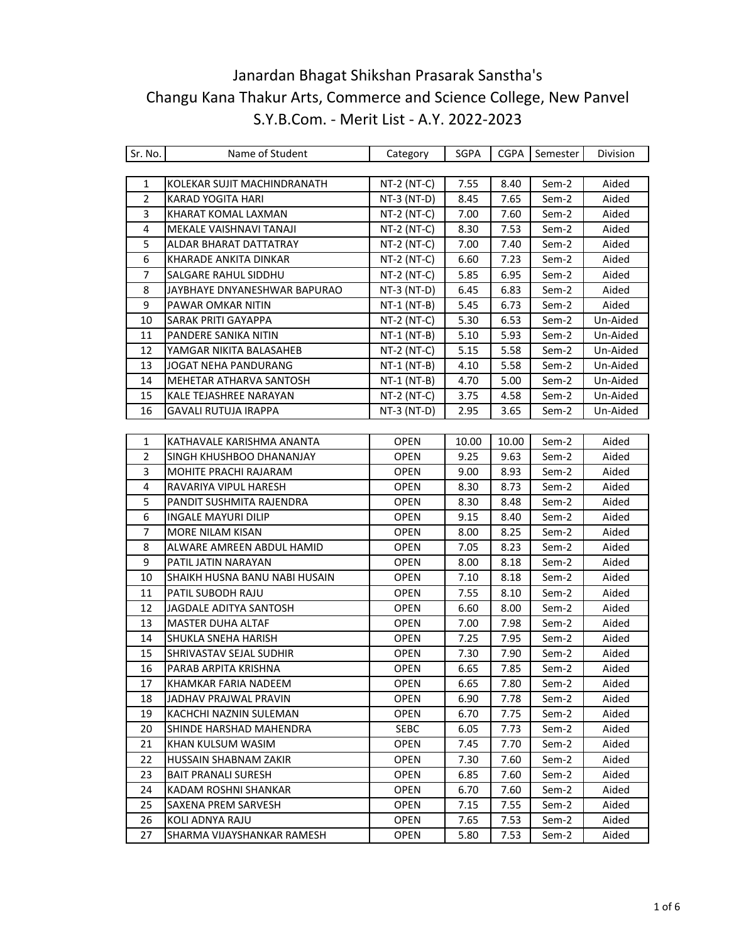| Sr. No.        | Name of Student                | Category      | SGPA  |       | CGPA   Semester | Division |
|----------------|--------------------------------|---------------|-------|-------|-----------------|----------|
|                |                                |               |       |       |                 |          |
| 1              | KOLEKAR SUJIT MACHINDRANATH    | NT-2 (NT-C)   | 7.55  | 8.40  | Sem-2           | Aided    |
| $\overline{2}$ | <b>KARAD YOGITA HARI</b>       | NT-3 (NT-D)   | 8.45  | 7.65  | Sem-2           | Aided    |
| 3              | KHARAT KOMAL LAXMAN            | NT-2 (NT-C)   | 7.00  | 7.60  | Sem-2           | Aided    |
| 4              | MEKALE VAISHNAVI TANAJI        | $NT-2$ (NT-C) | 8.30  | 7.53  | Sem-2           | Aided    |
| 5              | ALDAR BHARAT DATTATRAY         | $NT-2$ (NT-C) | 7.00  | 7.40  | Sem-2           | Aided    |
| 6              | KHARADE ANKITA DINKAR          | $NT-2$ (NT-C) | 6.60  | 7.23  | Sem-2           | Aided    |
| 7              | SALGARE RAHUL SIDDHU           | NT-2 (NT-C)   | 5.85  | 6.95  | Sem-2           | Aided    |
| 8              | JAYBHAYE DNYANESHWAR BAPURAO   | $NT-3$ (NT-D) | 6.45  | 6.83  | Sem-2           | Aided    |
| 9              | PAWAR OMKAR NITIN              | $NT-1$ (NT-B) | 5.45  | 6.73  | Sem-2           | Aided    |
| 10             | <b>SARAK PRITI GAYAPPA</b>     | $NT-2$ (NT-C) | 5.30  | 6.53  | Sem-2           | Un-Aided |
| 11             | PANDERE SANIKA NITIN           | NT-1 (NT-B)   | 5.10  | 5.93  | Sem-2           | Un-Aided |
| 12             | YAMGAR NIKITA BALASAHEB        | $NT-2$ (NT-C) | 5.15  | 5.58  | Sem-2           | Un-Aided |
| 13             | JOGAT NEHA PANDURANG           | $NT-1$ (NT-B) | 4.10  | 5.58  | Sem-2           | Un-Aided |
| 14             | MEHETAR ATHARVA SANTOSH        | $NT-1$ (NT-B) | 4.70  | 5.00  | Sem-2           | Un-Aided |
| 15             | KALE TEJASHREE NARAYAN         | NT-2 (NT-C)   | 3.75  | 4.58  | Sem-2           | Un-Aided |
| 16             | <b>GAVALI RUTUJA IRAPPA</b>    | NT-3 (NT-D)   | 2.95  | 3.65  | Sem-2           | Un-Aided |
|                |                                |               |       |       |                 |          |
| $\mathbf{1}$   | KATHAVALE KARISHMA ANANTA      | <b>OPEN</b>   | 10.00 | 10.00 | Sem-2           | Aided    |
| $\overline{2}$ | SINGH KHUSHBOO DHANANJAY       | <b>OPEN</b>   | 9.25  | 9.63  | Sem-2           | Aided    |
| 3              | MOHITE PRACHI RAJARAM          | <b>OPEN</b>   | 9.00  | 8.93  | Sem-2           | Aided    |
| 4              | RAVARIYA VIPUL HARESH          | <b>OPEN</b>   | 8.30  | 8.73  | Sem-2           | Aided    |
| 5              | PANDIT SUSHMITA RAJENDRA       | <b>OPEN</b>   | 8.30  | 8.48  | Sem-2           | Aided    |
| 6              | <b>INGALE MAYURI DILIP</b>     | <b>OPEN</b>   | 9.15  | 8.40  | Sem-2           | Aided    |
| $\overline{7}$ | MORE NILAM KISAN               | <b>OPEN</b>   | 8.00  | 8.25  | Sem-2           | Aided    |
| 8              | ALWARE AMREEN ABDUL HAMID      | <b>OPEN</b>   | 7.05  | 8.23  | Sem-2           | Aided    |
| 9              | PATIL JATIN NARAYAN            | <b>OPEN</b>   | 8.00  | 8.18  | Sem-2           | Aided    |
| 10             | SHAIKH HUSNA BANU NABI HUSAIN  | <b>OPEN</b>   | 7.10  | 8.18  | Sem-2           | Aided    |
| 11             | PATIL SUBODH RAJU              | <b>OPEN</b>   | 7.55  | 8.10  | Sem-2           | Aided    |
| 12             | JAGDALE ADITYA SANTOSH         | <b>OPEN</b>   | 6.60  | 8.00  | Sem-2           | Aided    |
| 13             | <b>MASTER DUHA ALTAF</b>       | <b>OPEN</b>   | 7.00  | 7.98  | Sem-2           | Aided    |
| 14             | SHUKLA SNEHA HARISH            | <b>OPEN</b>   | 7.25  | 7.95  | Sem-2           | Aided    |
| 15             | <b>SHRIVASTAV SEJAL SUDHIR</b> | <b>OPEN</b>   | 7.30  | 7.90  | Sem-2           | Aided    |
| 16             | PARAB ARPITA KRISHNA           | <b>OPEN</b>   | 6.65  | 7.85  | Sem-2           | Aided    |
| 17             | KHAMKAR FARIA NADEEM           | <b>OPEN</b>   | 6.65  | 7.80  | Sem-2           | Aided    |
| 18             | JADHAV PRAJWAL PRAVIN          | <b>OPEN</b>   | 6.90  | 7.78  | Sem-2           | Aided    |
| 19             | KACHCHI NAZNIN SULEMAN         | <b>OPEN</b>   | 6.70  | 7.75  | Sem-2           | Aided    |
| 20             | SHINDE HARSHAD MAHENDRA        | SEBC          | 6.05  | 7.73  | Sem-2           | Aided    |
| 21             | KHAN KULSUM WASIM              | <b>OPEN</b>   | 7.45  | 7.70  | Sem-2           | Aided    |
| 22             | HUSSAIN SHABNAM ZAKIR          | <b>OPEN</b>   | 7.30  | 7.60  | Sem-2           | Aided    |
| 23             | <b>BAIT PRANALI SURESH</b>     | <b>OPEN</b>   | 6.85  | 7.60  | Sem-2           | Aided    |
| 24             | KADAM ROSHNI SHANKAR           | <b>OPEN</b>   | 6.70  | 7.60  | Sem-2           | Aided    |
| 25             | SAXENA PREM SARVESH            | <b>OPEN</b>   | 7.15  | 7.55  | Sem-2           | Aided    |
| 26             | KOLI ADNYA RAJU                | <b>OPEN</b>   | 7.65  | 7.53  | Sem-2           | Aided    |
| 27             | SHARMA VIJAYSHANKAR RAMESH     | <b>OPEN</b>   | 5.80  | 7.53  | Sem-2           | Aided    |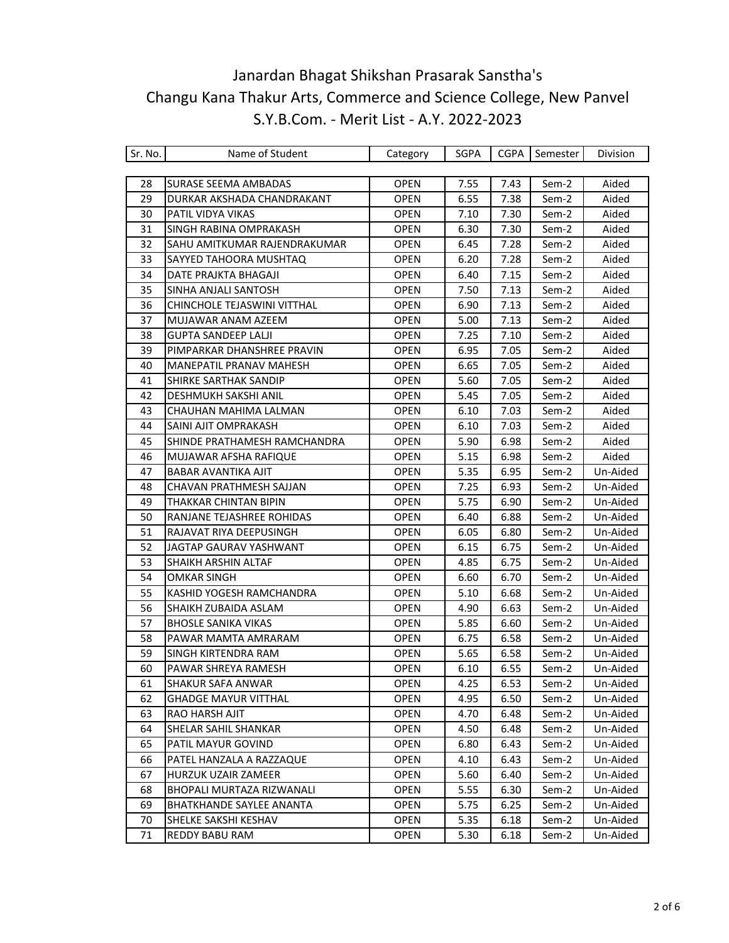| Sr. No. | Name of Student              | Category    | SGPA | <b>CGPA</b> | Semester | Division |
|---------|------------------------------|-------------|------|-------------|----------|----------|
|         |                              |             |      |             |          |          |
| 28      | <b>SURASE SEEMA AMBADAS</b>  | <b>OPEN</b> | 7.55 | 7.43        | Sem-2    | Aided    |
| 29      | DURKAR AKSHADA CHANDRAKANT   | <b>OPEN</b> | 6.55 | 7.38        | Sem-2    | Aided    |
| 30      | PATIL VIDYA VIKAS            | <b>OPEN</b> | 7.10 | 7.30        | Sem-2    | Aided    |
| 31      | SINGH RABINA OMPRAKASH       | <b>OPEN</b> | 6.30 | 7.30        | Sem-2    | Aided    |
| 32      | SAHU AMITKUMAR RAJENDRAKUMAR | <b>OPEN</b> | 6.45 | 7.28        | Sem-2    | Aided    |
| 33      | SAYYED TAHOORA MUSHTAQ       | <b>OPEN</b> | 6.20 | 7.28        | Sem-2    | Aided    |
| 34      | DATE PRAJKTA BHAGAJI         | <b>OPEN</b> | 6.40 | 7.15        | Sem-2    | Aided    |
| 35      | SINHA ANJALI SANTOSH         | <b>OPEN</b> | 7.50 | 7.13        | Sem-2    | Aided    |
| 36      | CHINCHOLE TEJASWINI VITTHAL  | <b>OPEN</b> | 6.90 | 7.13        | Sem-2    | Aided    |
| 37      | MUJAWAR ANAM AZEEM           | <b>OPEN</b> | 5.00 | 7.13        | Sem-2    | Aided    |
| 38      | <b>GUPTA SANDEEP LALJI</b>   | <b>OPEN</b> | 7.25 | 7.10        | Sem-2    | Aided    |
| 39      | PIMPARKAR DHANSHREE PRAVIN   | <b>OPEN</b> | 6.95 | 7.05        | Sem-2    | Aided    |
| 40      | MANEPATIL PRANAV MAHESH      | <b>OPEN</b> | 6.65 | 7.05        | Sem-2    | Aided    |
| 41      | SHIRKE SARTHAK SANDIP        | <b>OPEN</b> | 5.60 | 7.05        | Sem-2    | Aided    |
| 42      | DESHMUKH SAKSHI ANIL         | <b>OPEN</b> | 5.45 | 7.05        | Sem-2    | Aided    |
| 43      | CHAUHAN MAHIMA LALMAN        | <b>OPEN</b> | 6.10 | 7.03        | Sem-2    | Aided    |
| 44      | SAINI AJIT OMPRAKASH         | <b>OPEN</b> | 6.10 | 7.03        | Sem-2    | Aided    |
| 45      | SHINDE PRATHAMESH RAMCHANDRA | <b>OPEN</b> | 5.90 | 6.98        | Sem-2    | Aided    |
| 46      | MUJAWAR AFSHA RAFIQUE        | <b>OPEN</b> | 5.15 | 6.98        | Sem-2    | Aided    |
| 47      | BABAR AVANTIKA AJIT          | <b>OPEN</b> | 5.35 | 6.95        | Sem-2    | Un-Aided |
| 48      | CHAVAN PRATHMESH SAJJAN      | <b>OPEN</b> | 7.25 | 6.93        | Sem-2    | Un-Aided |
| 49      | THAKKAR CHINTAN BIPIN        | OPEN        | 5.75 | 6.90        | Sem-2    | Un-Aided |
| 50      | RANJANE TEJASHREE ROHIDAS    | <b>OPEN</b> | 6.40 | 6.88        | Sem-2    | Un-Aided |
| 51      | RAJAVAT RIYA DEEPUSINGH      | <b>OPEN</b> | 6.05 | 6.80        | Sem-2    | Un-Aided |
| 52      | JAGTAP GAURAV YASHWANT       | <b>OPEN</b> | 6.15 | 6.75        | Sem-2    | Un-Aided |
| 53      | SHAIKH ARSHIN ALTAF          | OPEN        | 4.85 | 6.75        | Sem-2    | Un-Aided |
| 54      | <b>OMKAR SINGH</b>           | <b>OPEN</b> | 6.60 | 6.70        | Sem-2    | Un-Aided |
| 55      | KASHID YOGESH RAMCHANDRA     | <b>OPEN</b> | 5.10 | 6.68        | Sem-2    | Un-Aided |
| 56      | SHAIKH ZUBAIDA ASLAM         | <b>OPEN</b> | 4.90 | 6.63        | Sem-2    | Un-Aided |
| 57      | <b>BHOSLE SANIKA VIKAS</b>   | <b>OPEN</b> | 5.85 | 6.60        | Sem-2    | Un-Aided |
| 58      | PAWAR MAMTA AMRARAM          | <b>OPEN</b> | 6.75 | 6.58        | Sem-2    | Un-Aided |
| 59      | SINGH KIRTENDRA RAM          | <b>OPEN</b> | 5.65 | 6.58        | Sem-2    | Un-Aided |
| 60      | PAWAR SHREYA RAMESH          | <b>OPEN</b> | 6.10 | 6.55        | Sem-2    | Un-Aided |
| 61      | <b>SHAKUR SAFA ANWAR</b>     | <b>OPEN</b> | 4.25 | 6.53        | Sem-2    | Un-Aided |
| 62      | <b>GHADGE MAYUR VITTHAL</b>  | <b>OPEN</b> | 4.95 | 6.50        | Sem-2    | Un-Aided |
| 63      | RAO HARSH AJIT               | <b>OPEN</b> | 4.70 | 6.48        | Sem-2    | Un-Aided |
| 64      | SHELAR SAHIL SHANKAR         | <b>OPEN</b> | 4.50 | 6.48        | Sem-2    | Un-Aided |
| 65      | PATIL MAYUR GOVIND           | <b>OPEN</b> | 6.80 | 6.43        | Sem-2    | Un-Aided |
| 66      | PATEL HANZALA A RAZZAQUE     | <b>OPEN</b> | 4.10 | 6.43        | Sem-2    | Un-Aided |
| 67      | HURZUK UZAIR ZAMEER          | <b>OPEN</b> | 5.60 | 6.40        | Sem-2    | Un-Aided |
| 68      | BHOPALI MURTAZA RIZWANALI    | <b>OPEN</b> | 5.55 | 6.30        | Sem-2    | Un-Aided |
| 69      | BHATKHANDE SAYLEE ANANTA     | <b>OPEN</b> | 5.75 | 6.25        | Sem-2    | Un-Aided |
| 70      | <b>SHELKE SAKSHI KESHAV</b>  | <b>OPEN</b> | 5.35 | 6.18        | Sem-2    | Un-Aided |
| 71      | <b>REDDY BABU RAM</b>        | <b>OPEN</b> | 5.30 | 6.18        | Sem-2    | Un-Aided |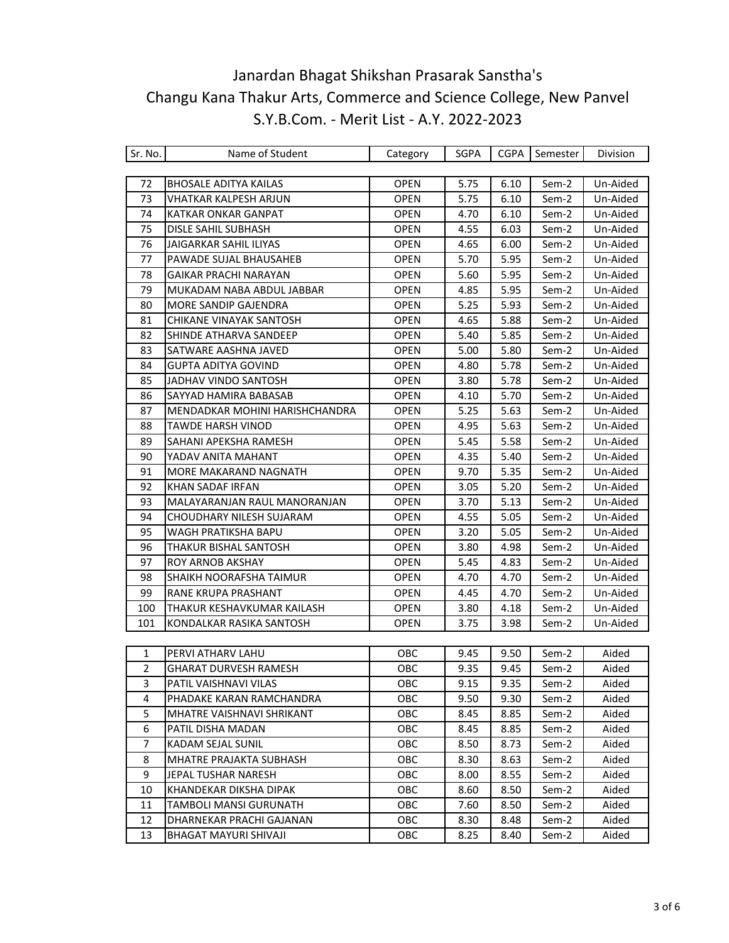| Sr. No.      | Name of Student                | Category    | SGPA | CGPA | Semester | Division |
|--------------|--------------------------------|-------------|------|------|----------|----------|
|              |                                |             |      |      |          |          |
| 72           | <b>BHOSALE ADITYA KAILAS</b>   | <b>OPEN</b> | 5.75 | 6.10 | Sem-2    | Un-Aided |
| 73           | <b>VHATKAR KALPESH ARJUN</b>   | <b>OPEN</b> | 5.75 | 6.10 | Sem-2    | Un-Aided |
| 74           | KATKAR ONKAR GANPAT            | <b>OPEN</b> | 4.70 | 6.10 | Sem-2    | Un-Aided |
| 75           | DISLE SAHIL SUBHASH            | <b>OPEN</b> | 4.55 | 6.03 | Sem-2    | Un-Aided |
| 76           | <b>JAIGARKAR SAHIL ILIYAS</b>  | <b>OPEN</b> | 4.65 | 6.00 | Sem-2    | Un-Aided |
| 77           | PAWADE SUJAL BHAUSAHEB         | <b>OPEN</b> | 5.70 | 5.95 | Sem-2    | Un-Aided |
| 78           | <b>GAIKAR PRACHI NARAYAN</b>   | <b>OPEN</b> | 5.60 | 5.95 | Sem-2    | Un-Aided |
| 79           | MUKADAM NABA ABDUL JABBAR      | <b>OPEN</b> | 4.85 | 5.95 | Sem-2    | Un-Aided |
| 80           | MORE SANDIP GAJENDRA           | <b>OPEN</b> | 5.25 | 5.93 | Sem-2    | Un-Aided |
| 81           | CHIKANE VINAYAK SANTOSH        | <b>OPEN</b> | 4.65 | 5.88 | Sem-2    | Un-Aided |
| 82           | SHINDE ATHARVA SANDEEP         | <b>OPEN</b> | 5.40 | 5.85 | Sem-2    | Un-Aided |
| 83           | SATWARE AASHNA JAVED           | <b>OPEN</b> | 5.00 | 5.80 | Sem-2    | Un-Aided |
| 84           | <b>GUPTA ADITYA GOVIND</b>     | OPEN        | 4.80 | 5.78 | Sem-2    | Un-Aided |
| 85           | JADHAV VINDO SANTOSH           | <b>OPEN</b> | 3.80 | 5.78 | Sem-2    | Un-Aided |
| 86           | SAYYAD HAMIRA BABASAB          | <b>OPEN</b> | 4.10 | 5.70 | Sem-2    | Un-Aided |
| 87           | MENDADKAR MOHINI HARISHCHANDRA | <b>OPEN</b> | 5.25 | 5.63 | Sem-2    | Un-Aided |
| 88           | TAWDE HARSH VINOD              | <b>OPEN</b> | 4.95 | 5.63 | Sem-2    | Un-Aided |
| 89           | SAHANI APEKSHA RAMESH          | <b>OPEN</b> | 5.45 | 5.58 | Sem-2    | Un-Aided |
| 90           | YADAV ANITA MAHANT             | <b>OPEN</b> | 4.35 | 5.40 | Sem-2    | Un-Aided |
| 91           | MORE MAKARAND NAGNATH          | <b>OPEN</b> | 9.70 | 5.35 | Sem-2    | Un-Aided |
| 92           | KHAN SADAF IRFAN               | <b>OPEN</b> | 3.05 | 5.20 | Sem-2    | Un-Aided |
| 93           | MALAYARANJAN RAUL MANORANJAN   | <b>OPEN</b> | 3.70 | 5.13 | Sem-2    | Un-Aided |
| 94           | CHOUDHARY NILESH SUJARAM       | <b>OPEN</b> | 4.55 | 5.05 | Sem-2    | Un-Aided |
| 95           | WAGH PRATIKSHA BAPU            | <b>OPEN</b> | 3.20 | 5.05 | Sem-2    | Un-Aided |
| 96           | THAKUR BISHAL SANTOSH          | <b>OPEN</b> | 3.80 | 4.98 | Sem-2    | Un-Aided |
| 97           | <b>ROY ARNOB AKSHAY</b>        | <b>OPEN</b> | 5.45 | 4.83 | Sem-2    | Un-Aided |
| 98           | SHAIKH NOORAFSHA TAIMUR        | <b>OPEN</b> | 4.70 | 4.70 | Sem-2    | Un-Aided |
| 99           | RANE KRUPA PRASHANT            | <b>OPEN</b> | 4.45 | 4.70 | Sem-2    | Un-Aided |
| 100          | THAKUR KESHAVKUMAR KAILASH     | <b>OPEN</b> | 3.80 | 4.18 | Sem-2    | Un-Aided |
| 101          | KONDALKAR RASIKA SANTOSH       | OPEN        | 3.75 | 3.98 | Sem-2    | Un-Aided |
|              |                                |             |      |      |          |          |
| $\mathbf{1}$ | PERVI ATHARV LAHU              | OBC         | 9.45 | 9.50 | Sem-2    | Aided    |
| 2            | GHARAT DURVESH RAMESH          | OBC         | 9.35 | 9.45 | Sem-2    | Aided    |
| 3            | PATIL VAISHNAVI VILAS          | OBC         | 9.15 | 9.35 | Sem-2    | Aided    |
| 4            | PHADAKE KARAN RAMCHANDRA       | <b>OBC</b>  | 9.50 | 9.30 | Sem-2    | Aided    |
| 5            | MHATRE VAISHNAVI SHRIKANT      | OBC         | 8.45 | 8.85 | Sem-2    | Aided    |
| 6            | PATIL DISHA MADAN              | <b>OBC</b>  | 8.45 | 8.85 | Sem-2    | Aided    |
| 7            | KADAM SEJAL SUNIL              | <b>OBC</b>  | 8.50 | 8.73 | Sem-2    | Aided    |
| 8            | MHATRE PRAJAKTA SUBHASH        | OBC         | 8.30 | 8.63 | Sem-2    | Aided    |
| 9            | JEPAL TUSHAR NARESH            | OBC         | 8.00 | 8.55 | Sem-2    | Aided    |
| 10           | KHANDEKAR DIKSHA DIPAK         | OBC         | 8.60 | 8.50 | Sem-2    | Aided    |
| 11           | TAMBOLI MANSI GURUNATH         | OBC         | 7.60 | 8.50 | Sem-2    | Aided    |
| 12           | DHARNEKAR PRACHI GAJANAN       | OBC         | 8.30 | 8.48 | Sem-2    | Aided    |

13 BHAGAT MAYURI SHIVAJI **OBC** 8.25 8.40 Sem-2 Aided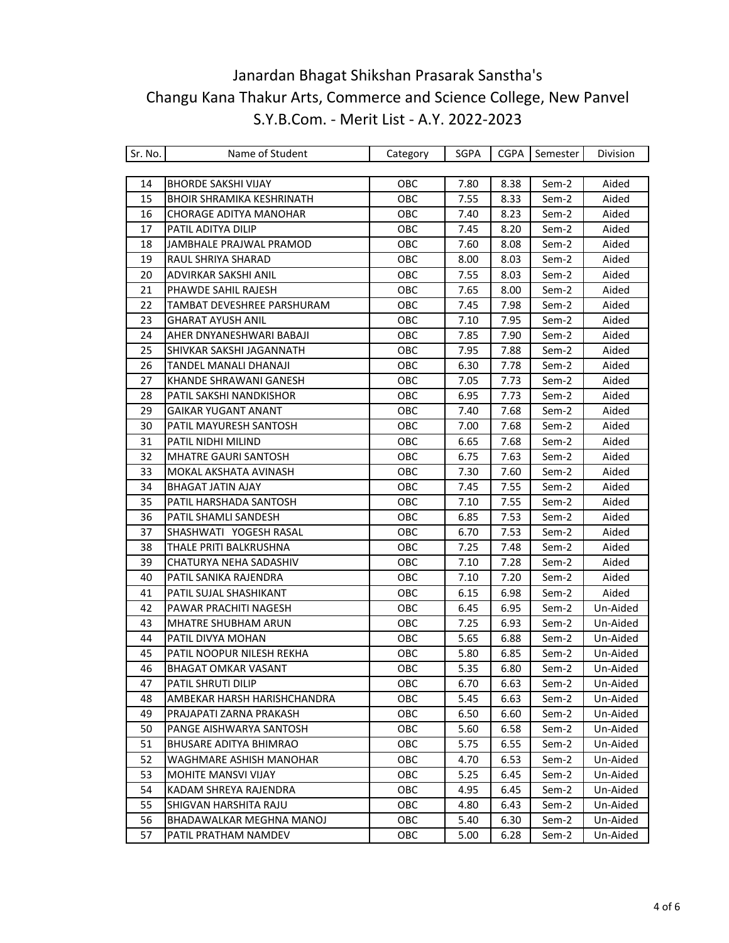| Sr. No. | Name of Student                  | Category   | SGPA | <b>CGPA</b> | Semester | Division |
|---------|----------------------------------|------------|------|-------------|----------|----------|
|         |                                  |            |      |             |          |          |
| 14      | <b>BHORDE SAKSHI VIJAY</b>       | OBC        | 7.80 | 8.38        | Sem-2    | Aided    |
| 15      | <b>BHOIR SHRAMIKA KESHRINATH</b> | OBC        | 7.55 | 8.33        | Sem-2    | Aided    |
| 16      | <b>CHORAGE ADITYA MANOHAR</b>    | OBC        | 7.40 | 8.23        | Sem-2    | Aided    |
| 17      | PATIL ADITYA DILIP               | OBC        | 7.45 | 8.20        | Sem-2    | Aided    |
| 18      | JAMBHALE PRAJWAL PRAMOD          | OBC        | 7.60 | 8.08        | Sem-2    | Aided    |
| 19      | RAUL SHRIYA SHARAD               | OBC        | 8.00 | 8.03        | Sem-2    | Aided    |
| 20      | ADVIRKAR SAKSHI ANIL             | OBC        | 7.55 | 8.03        | Sem-2    | Aided    |
| 21      | PHAWDE SAHIL RAJESH              | OBC        | 7.65 | 8.00        | Sem-2    | Aided    |
| 22      | TAMBAT DEVESHREE PARSHURAM       | OBC        | 7.45 | 7.98        | Sem-2    | Aided    |
| 23      | GHARAT AYUSH ANIL                | OBC        | 7.10 | 7.95        | Sem-2    | Aided    |
| 24      | AHER DNYANESHWARI BABAJI         | OBC        | 7.85 | 7.90        | Sem-2    | Aided    |
| 25      | SHIVKAR SAKSHI JAGANNATH         | OBC        | 7.95 | 7.88        | Sem-2    | Aided    |
| 26      | TANDEL MANALI DHANAJI            | OBC        | 6.30 | 7.78        | Sem-2    | Aided    |
| 27      | KHANDE SHRAWANI GANESH           | OBC        | 7.05 | 7.73        | Sem-2    | Aided    |
| 28      | PATIL SAKSHI NANDKISHOR          | OBC        | 6.95 | 7.73        | Sem-2    | Aided    |
| 29      | <b>GAIKAR YUGANT ANANT</b>       | OBC        | 7.40 | 7.68        | Sem-2    | Aided    |
| 30      | PATIL MAYURESH SANTOSH           | OBC        | 7.00 | 7.68        | Sem-2    | Aided    |
| 31      | PATIL NIDHI MILIND               | OBC        | 6.65 | 7.68        | Sem-2    | Aided    |
| 32      | <b>MHATRE GAURI SANTOSH</b>      | OBC        | 6.75 | 7.63        | Sem-2    | Aided    |
| 33      | MOKAL AKSHATA AVINASH            | OBC        | 7.30 | 7.60        | Sem-2    | Aided    |
| 34      | <b>BHAGAT JATIN AJAY</b>         | OBC        | 7.45 | 7.55        | Sem-2    | Aided    |
| 35      | PATIL HARSHADA SANTOSH           | OBC        | 7.10 | 7.55        | Sem-2    | Aided    |
| 36      | PATIL SHAMLI SANDESH             | OBC        | 6.85 | 7.53        | Sem-2    | Aided    |
| 37      | SHASHWATI YOGESH RASAL           | OBC        | 6.70 | 7.53        | Sem-2    | Aided    |
| 38      | THALE PRITI BALKRUSHNA           | OBC        | 7.25 | 7.48        | Sem-2    | Aided    |
| 39      | CHATURYA NEHA SADASHIV           | OBC        | 7.10 | 7.28        | Sem-2    | Aided    |
| 40      | PATIL SANIKA RAJENDRA            | OBC        | 7.10 | 7.20        | Sem-2    | Aided    |
| 41      | PATIL SUJAL SHASHIKANT           | OBC        | 6.15 | 6.98        | Sem-2    | Aided    |
| 42      | PAWAR PRACHITI NAGESH            | OBC        | 6.45 | 6.95        | Sem-2    | Un-Aided |
| 43      | <b>MHATRE SHUBHAM ARUN</b>       | OBC        | 7.25 | 6.93        | Sem-2    | Un-Aided |
| 44      | PATIL DIVYA MOHAN                | OBC        | 5.65 | 6.88        | Sem-2    | Un-Aided |
| 45      | PATIL NOOPUR NILESH REKHA        | OBC        | 5.80 | 6.85        | Sem-2    | Un-Aided |
| 46      | <b>BHAGAT OMKAR VASANT</b>       | OBC        | 5.35 | 6.80        | Sem-2    | Un-Aided |
| 47      | PATIL SHRUTI DILIP               | <b>OBC</b> | 6.70 | 6.63        | Sem-2    | Un-Aided |
| 48      | AMBEKAR HARSH HARISHCHANDRA      | <b>OBC</b> | 5.45 | 6.63        | Sem-2    | Un-Aided |
| 49      | PRAJAPATI ZARNA PRAKASH          | OBC        | 6.50 | 6.60        | Sem-2    | Un-Aided |
| 50      | PANGE AISHWARYA SANTOSH          | OBC        | 5.60 | 6.58        | Sem-2    | Un-Aided |
| 51      | BHUSARE ADITYA BHIMRAO           | OBC        | 5.75 | 6.55        | Sem-2    | Un-Aided |
| 52      | WAGHMARE ASHISH MANOHAR          | OBC        | 4.70 | 6.53        | Sem-2    | Un-Aided |
| 53      | <b>MOHITE MANSVI VIJAY</b>       | OBC        | 5.25 | 6.45        | Sem-2    | Un-Aided |
| 54      | KADAM SHREYA RAJENDRA            | OBC        | 4.95 | 6.45        | Sem-2    | Un-Aided |
| 55      | SHIGVAN HARSHITA RAJU            | OBC        | 4.80 | 6.43        | Sem-2    | Un-Aided |
| 56      | BHADAWALKAR MEGHNA MANOJ         | OBC        | 5.40 | 6.30        | Sem-2    | Un-Aided |
| 57      | PATIL PRATHAM NAMDEV             | OBC        | 5.00 | 6.28        | Sem-2    | Un-Aided |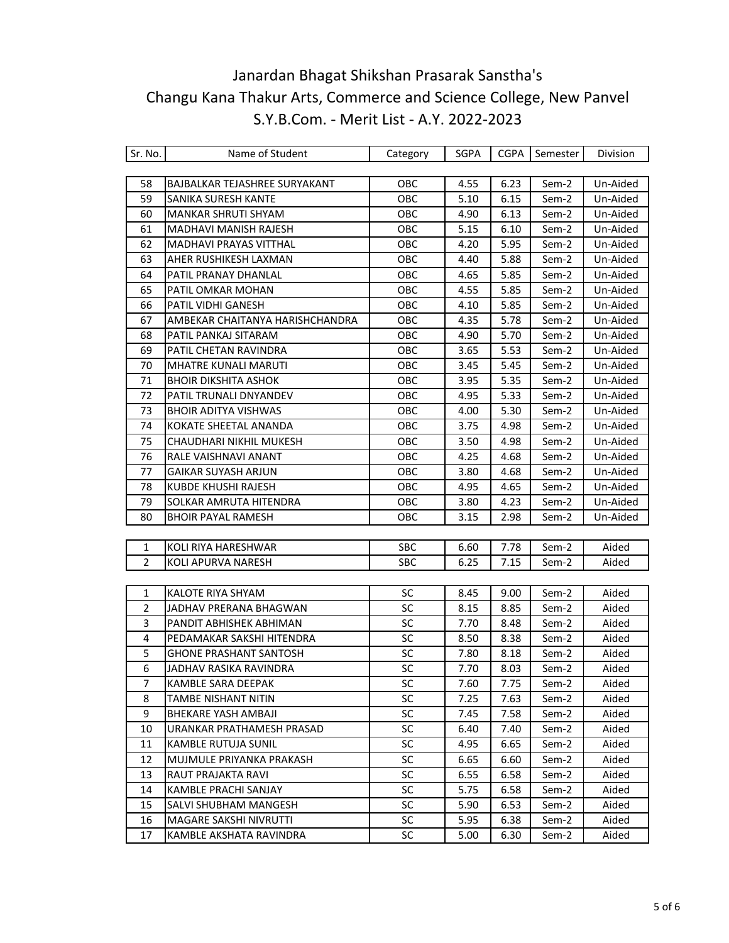| Sr. No.        | Name of Student                 | Category   | SGPA | <b>CGPA</b> | Semester | Division |
|----------------|---------------------------------|------------|------|-------------|----------|----------|
|                |                                 |            |      |             |          |          |
| 58             | BAJBALKAR TEJASHREE SURYAKANT   | OBC        | 4.55 | 6.23        | Sem-2    | Un-Aided |
| 59             | SANIKA SURESH KANTE             | OBC        | 5.10 | 6.15        | Sem-2    | Un-Aided |
| 60             | <b>MANKAR SHRUTI SHYAM</b>      | OBC        | 4.90 | 6.13        | Sem-2    | Un-Aided |
| 61             | MADHAVI MANISH RAJESH           | OBC        | 5.15 | 6.10        | Sem-2    | Un-Aided |
| 62             | <b>MADHAVI PRAYAS VITTHAL</b>   | OBC        | 4.20 | 5.95        | Sem-2    | Un-Aided |
| 63             | AHER RUSHIKESH LAXMAN           | OBC        | 4.40 | 5.88        | Sem-2    | Un-Aided |
| 64             | PATIL PRANAY DHANLAL            | OBC        | 4.65 | 5.85        | Sem-2    | Un-Aided |
| 65             | PATIL OMKAR MOHAN               | OBC        | 4.55 | 5.85        | Sem-2    | Un-Aided |
| 66             | PATIL VIDHI GANESH              | OBC        | 4.10 | 5.85        | Sem-2    | Un-Aided |
| 67             | AMBEKAR CHAITANYA HARISHCHANDRA | OBC        | 4.35 | 5.78        | Sem-2    | Un-Aided |
| 68             | PATIL PANKAJ SITARAM            | OBC        | 4.90 | 5.70        | Sem-2    | Un-Aided |
| 69             | PATIL CHETAN RAVINDRA           | OBC        | 3.65 | 5.53        | Sem-2    | Un-Aided |
| 70             | <b>MHATRE KUNALI MARUTI</b>     | OBC        | 3.45 | 5.45        | Sem-2    | Un-Aided |
| 71             | <b>BHOIR DIKSHITA ASHOK</b>     | OBC        | 3.95 | 5.35        | Sem-2    | Un-Aided |
| 72             | PATIL TRUNALI DNYANDEV          | OBC        | 4.95 | 5.33        | Sem-2    | Un-Aided |
| 73             | <b>BHOIR ADITYA VISHWAS</b>     | OBC        | 4.00 | 5.30        | Sem-2    | Un-Aided |
| 74             | KOKATE SHEETAL ANANDA           | OBC        | 3.75 | 4.98        | Sem-2    | Un-Aided |
| 75             | CHAUDHARI NIKHIL MUKESH         | OBC        | 3.50 | 4.98        | Sem-2    | Un-Aided |
| 76             | RALE VAISHNAVI ANANT            | OBC        | 4.25 | 4.68        | Sem-2    | Un-Aided |
| 77             | <b>GAIKAR SUYASH ARJUN</b>      | OBC        | 3.80 | 4.68        | Sem-2    | Un-Aided |
| 78             | <b>KUBDE KHUSHI RAJESH</b>      | OBC        | 4.95 | 4.65        | Sem-2    | Un-Aided |
| 79             | SOLKAR AMRUTA HITENDRA          | OBC        | 3.80 | 4.23        | Sem-2    | Un-Aided |
| 80             | <b>BHOIR PAYAL RAMESH</b>       | OBC        | 3.15 | 2.98        | Sem-2    | Un-Aided |
|                |                                 |            |      |             |          |          |
| 1              | KOLI RIYA HARESHWAR             | <b>SBC</b> | 6.60 | 7.78        | Sem-2    | Aided    |
| $\overline{2}$ | KOLI APURVA NARESH              | <b>SBC</b> | 6.25 | 7.15        | Sem-2    | Aided    |
|                |                                 |            |      |             |          |          |
| $\mathbf{1}$   | KALOTE RIYA SHYAM               | <b>SC</b>  | 8.45 | 9.00        | Sem-2    | Aided    |
| $\overline{2}$ | JADHAV PRERANA BHAGWAN          | SC         | 8.15 | 8.85        | Sem-2    | Aided    |
| 3              | PANDIT ABHISHEK ABHIMAN         | SC         | 7.70 | 8.48        | Sem-2    | Aided    |
| $\overline{4}$ | PEDAMAKAR SAKSHI HITENDRA       | SC         | 8.50 | 8.38        | Sem-2    | Aided    |
| 5              | <b>GHONE PRASHANT SANTOSH</b>   | SC         | 7.80 | 8.18        | Sem-2    | Aided    |
| 6              | JADHAV RASIKA RAVINDRA          | SC         | 7.70 | 8.03        | Sem-2    | Aided    |
| 7              | KAMBLE SARA DEEPAK              | SC         | 7.60 | 7.75        | Sem-2    | Aided    |
| 8              | TAMBE NISHANT NITIN             | SC         | 7.25 | 7.63        | Sem-2    | Aided    |
| 9              | <b>BHEKARE YASH AMBAJI</b>      | SC         | 7.45 | 7.58        | Sem-2    | Aided    |
| $10\,$         | URANKAR PRATHAMESH PRASAD       | SC         | 6.40 | 7.40        | Sem-2    | Aided    |
| 11             | KAMBLE RUTUJA SUNIL             | SC         | 4.95 | 6.65        | Sem-2    | Aided    |
| 12             | MUJMULE PRIYANKA PRAKASH        | SC         | 6.65 | 6.60        | Sem-2    | Aided    |
| 13             | RAUT PRAJAKTA RAVI              | <b>SC</b>  | 6.55 | 6.58        | Sem-2    | Aided    |
| 14             | KAMBLE PRACHI SANJAY            | SC         | 5.75 | 6.58        | Sem-2    | Aided    |
| 15             | SALVI SHUBHAM MANGESH           | SC         | 5.90 | 6.53        | Sem-2    | Aided    |
| 16             | MAGARE SAKSHI NIVRUTTI          | SC         | 5.95 | 6.38        | Sem-2    | Aided    |
| 17             | KAMBLE AKSHATA RAVINDRA         | <b>SC</b>  | 5.00 | 6.30        | Sem-2    | Aided    |